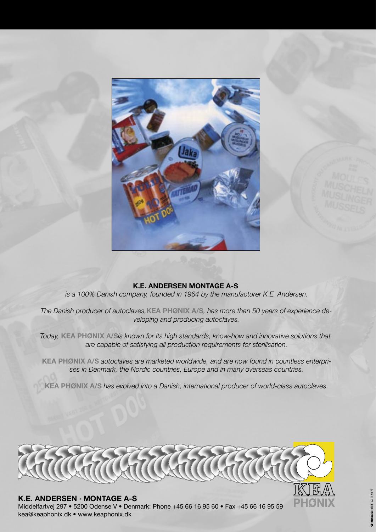

#### **K.E. ANDERSEN MONTAGE A-S**

*is a 100% Danish company, founded in 1964 by the manufacturer K.E. Andersen.*

*The Danish producer of autoclaves,***KEA PHØNIX A/S***, has more than 50 years of experience developing and producing autoclaves.*

*Today,* **KEA PHØNIX A/S***is known for its high standards, know-how and innovative solutions that are capable of satisfying all production requirements for sterilisation.*

**KEA PHØNIX A/S** *autoclaves are marketed worldwide, and are now found in countless enterprises in Denmark, the Nordic countries, Europe and in many overseas countries.*

**KEA PHØNIX A/S** *has evolved into a Danish, international producer of world-class autoclaves.*



#### **K.E. ANDERSEN · MONTAGE A-S**

Middelfartvej 297 • 5200 Odense V • Denmark: Phone +45 66 16 95 60 • Fax +45 66 16 95 59 kea@keaphonix.dk • www.keaphonix.dk

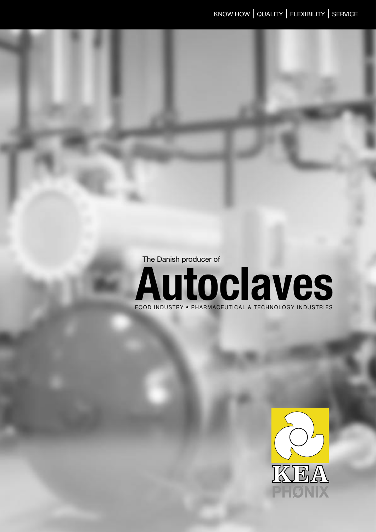The Danish producer of



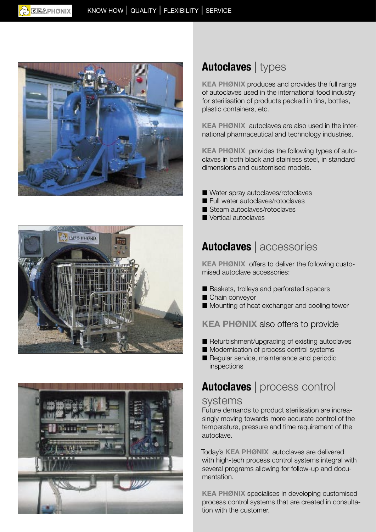





# **Autoclaves** | types

**KEA PHØNIX** produces and provides the full range of autoclaves used in the international food industry for sterilisation of products packed in tins, bottles, plastic containers, etc.

**KEA PHØNIX** autoclaves are also used in the international pharmaceutical and technology industries.

**KEA PHØNIX** provides the following types of autoclaves in both black and stainless steel, in standard dimensions and customised models.

- Water spray autoclaves/rotoclaves
- Full water autoclaves/rotoclaves
- Steam autoclaves/rotoclaves
- Vertical autoclaves

# **Autoclaves** | accessories

**KEA PHØNIX** offers to deliver the following customised autoclave accessories:

- Baskets, trolleys and perforated spacers
- Chain conveyor
- Mounting of heat exchanger and cooling tower

#### **KEA PHØNIX** also offers to provide

- Refurbishment/upgrading of existing autoclaves
- Modernisation of process control systems
- Regular service, maintenance and periodic inspections

# **Autoclaves** | process control

#### systems

Future demands to product sterilisation are increasingly moving towards more accurate control of the temperature, pressure and time requirement of the autoclave.

Today's **KEA PHØNIX** autoclaves are delivered with high-tech process control systems integral with several programs allowing for follow-up and documentation.

**KEA PHØNIX** specialises in developing customised process control systems that are created in consultation with the customer.